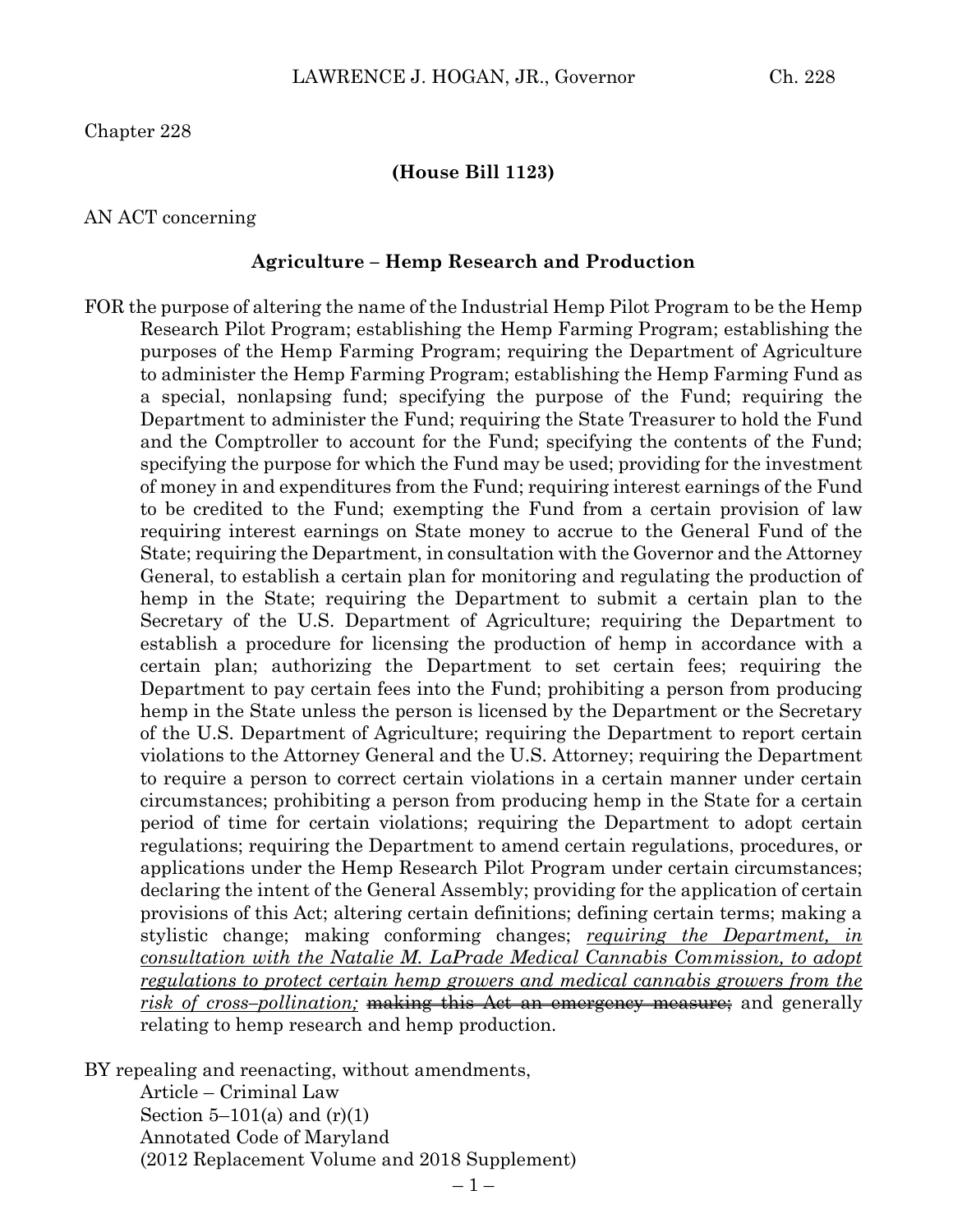Chapter 228

#### **(House Bill 1123)**

#### AN ACT concerning

#### **Agriculture – Hemp Research and Production**

FOR the purpose of altering the name of the Industrial Hemp Pilot Program to be the Hemp Research Pilot Program; establishing the Hemp Farming Program; establishing the purposes of the Hemp Farming Program; requiring the Department of Agriculture to administer the Hemp Farming Program; establishing the Hemp Farming Fund as a special, nonlapsing fund; specifying the purpose of the Fund; requiring the Department to administer the Fund; requiring the State Treasurer to hold the Fund and the Comptroller to account for the Fund; specifying the contents of the Fund; specifying the purpose for which the Fund may be used; providing for the investment of money in and expenditures from the Fund; requiring interest earnings of the Fund to be credited to the Fund; exempting the Fund from a certain provision of law requiring interest earnings on State money to accrue to the General Fund of the State; requiring the Department, in consultation with the Governor and the Attorney General, to establish a certain plan for monitoring and regulating the production of hemp in the State; requiring the Department to submit a certain plan to the Secretary of the U.S. Department of Agriculture; requiring the Department to establish a procedure for licensing the production of hemp in accordance with a certain plan; authorizing the Department to set certain fees; requiring the Department to pay certain fees into the Fund; prohibiting a person from producing hemp in the State unless the person is licensed by the Department or the Secretary of the U.S. Department of Agriculture; requiring the Department to report certain violations to the Attorney General and the U.S. Attorney; requiring the Department to require a person to correct certain violations in a certain manner under certain circumstances; prohibiting a person from producing hemp in the State for a certain period of time for certain violations; requiring the Department to adopt certain regulations; requiring the Department to amend certain regulations, procedures, or applications under the Hemp Research Pilot Program under certain circumstances; declaring the intent of the General Assembly; providing for the application of certain provisions of this Act; altering certain definitions; defining certain terms; making a stylistic change; making conforming changes; *requiring the Department, in consultation with the Natalie M. LaPrade Medical Cannabis Commission, to adopt regulations to protect certain hemp growers and medical cannabis growers from the risk of cross-pollination*; making this Act an emergency measure; and generally relating to hemp research and hemp production.

BY repealing and reenacting, without amendments,

Article – Criminal Law Section  $5-101(a)$  and  $(r)(1)$ Annotated Code of Maryland (2012 Replacement Volume and 2018 Supplement)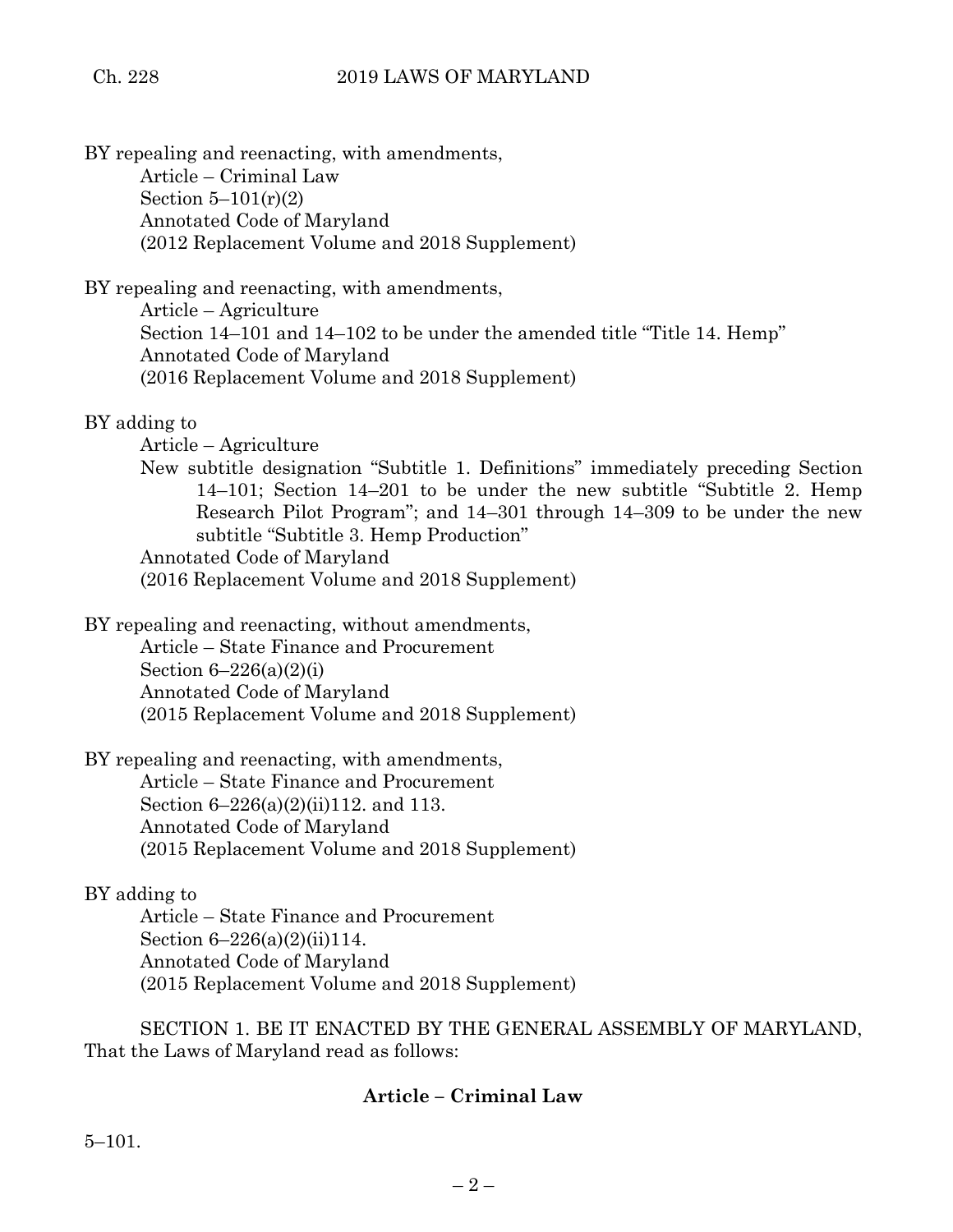BY repealing and reenacting, with amendments, Article – Criminal Law Section  $5-101(r)(2)$ Annotated Code of Maryland (2012 Replacement Volume and 2018 Supplement)

BY repealing and reenacting, with amendments, Article – Agriculture Section 14–101 and 14–102 to be under the amended title "Title 14. Hemp" Annotated Code of Maryland (2016 Replacement Volume and 2018 Supplement)

# BY adding to

Article – Agriculture

New subtitle designation "Subtitle 1. Definitions" immediately preceding Section 14–101; Section 14–201 to be under the new subtitle "Subtitle 2. Hemp Research Pilot Program"; and 14–301 through 14–309 to be under the new subtitle "Subtitle 3. Hemp Production" Annotated Code of Maryland

(2016 Replacement Volume and 2018 Supplement)

BY repealing and reenacting, without amendments, Article – State Finance and Procurement Section  $6-226(a)(2)(i)$ 

Annotated Code of Maryland (2015 Replacement Volume and 2018 Supplement)

BY repealing and reenacting, with amendments,

Article – State Finance and Procurement Section 6–226(a)(2)(ii)112. and 113. Annotated Code of Maryland (2015 Replacement Volume and 2018 Supplement)

## BY adding to

Article – State Finance and Procurement Section 6–226(a)(2)(ii)114. Annotated Code of Maryland (2015 Replacement Volume and 2018 Supplement)

SECTION 1. BE IT ENACTED BY THE GENERAL ASSEMBLY OF MARYLAND, That the Laws of Maryland read as follows:

# **Article – Criminal Law**

5–101.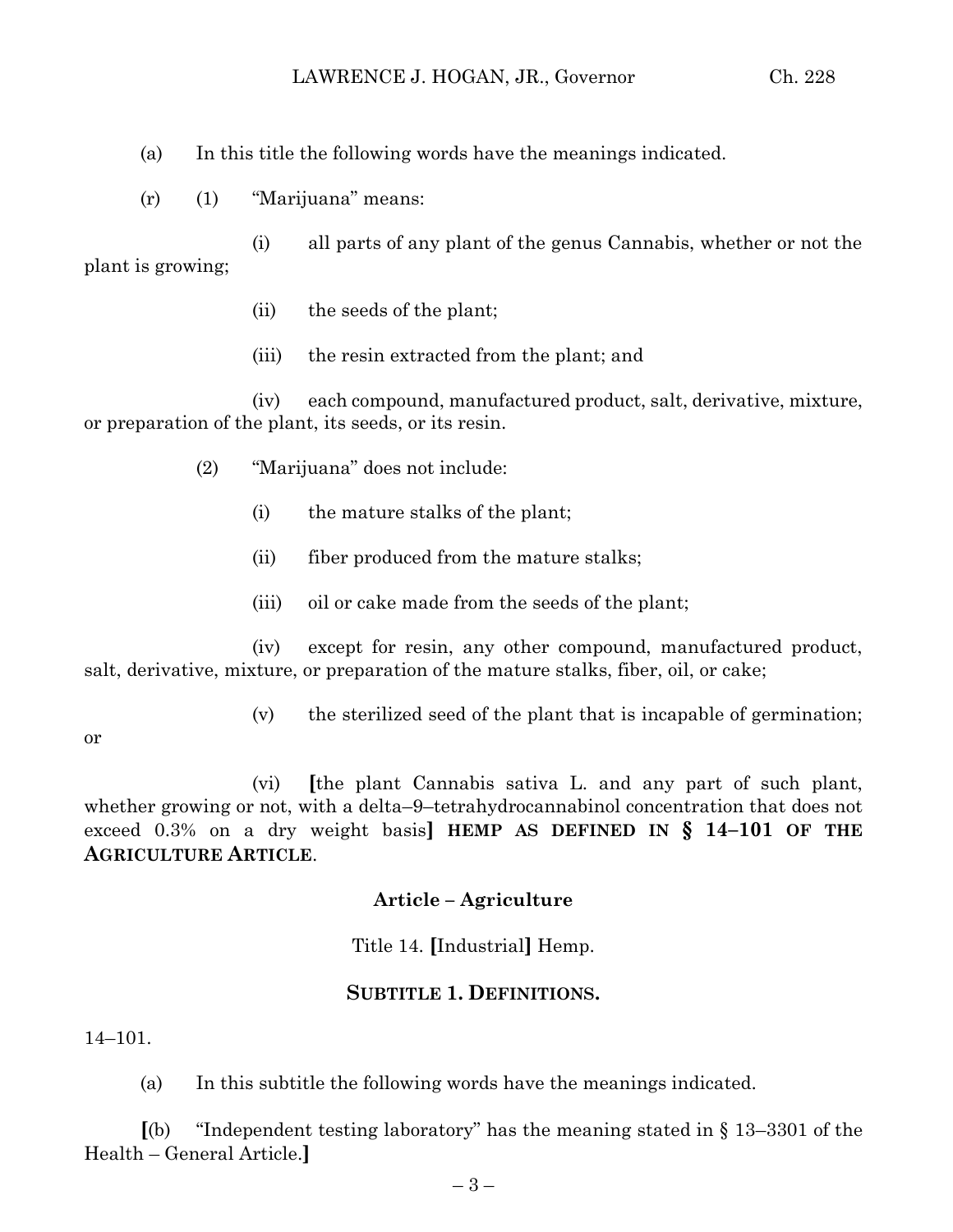- (a) In this title the following words have the meanings indicated.
- (r) (1) "Marijuana" means:

(i) all parts of any plant of the genus Cannabis, whether or not the plant is growing;

- (ii) the seeds of the plant;
- (iii) the resin extracted from the plant; and

(iv) each compound, manufactured product, salt, derivative, mixture, or preparation of the plant, its seeds, or its resin.

- (2) "Marijuana" does not include:
	- (i) the mature stalks of the plant;
	- (ii) fiber produced from the mature stalks;
	- (iii) oil or cake made from the seeds of the plant;

(iv) except for resin, any other compound, manufactured product, salt, derivative, mixture, or preparation of the mature stalks, fiber, oil, or cake;

(v) the sterilized seed of the plant that is incapable of germination;

or

(vi) **[**the plant Cannabis sativa L. and any part of such plant, whether growing or not, with a delta–9–tetrahydrocannabinol concentration that does not exceed 0.3% on a dry weight basis**] HEMP AS DEFINED IN § 14–101 OF THE AGRICULTURE ARTICLE**.

## **Article – Agriculture**

Title 14. **[**Industrial**]** Hemp.

## **SUBTITLE 1. DEFINITIONS.**

14–101.

(a) In this subtitle the following words have the meanings indicated.

**[**(b) "Independent testing laboratory" has the meaning stated in § 13–3301 of the Health – General Article.**]**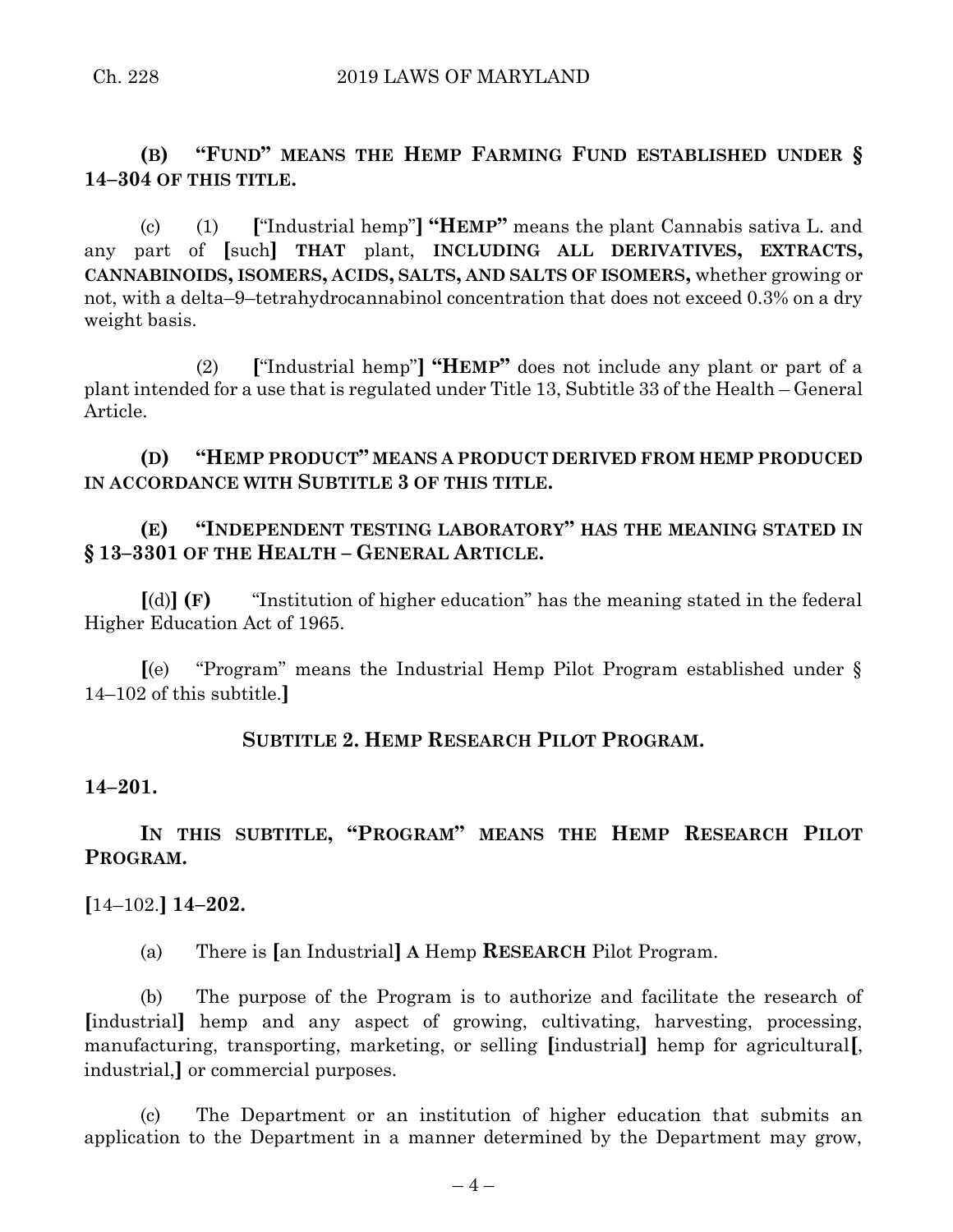**(B) "FUND" MEANS THE HEMP FARMING FUND ESTABLISHED UNDER § 14–304 OF THIS TITLE.**

(c) (1) **[**"Industrial hemp"**] "HEMP"** means the plant Cannabis sativa L. and any part of **[**such**] THAT** plant, **INCLUDING ALL DERIVATIVES, EXTRACTS, CANNABINOIDS, ISOMERS, ACIDS, SALTS, AND SALTS OF ISOMERS,** whether growing or not, with a delta–9–tetrahydrocannabinol concentration that does not exceed 0.3% on a dry weight basis.

(2) **[**"Industrial hemp"**] "HEMP"** does not include any plant or part of a plant intended for a use that is regulated under Title 13, Subtitle 33 of the Health – General Article.

**(D) "HEMP PRODUCT" MEANS A PRODUCT DERIVED FROM HEMP PRODUCED IN ACCORDANCE WITH SUBTITLE 3 OF THIS TITLE.**

# **(E) "INDEPENDENT TESTING LABORATORY" HAS THE MEANING STATED IN § 13–3301 OF THE HEALTH – GENERAL ARTICLE.**

**[**(d)**] (F)** "Institution of higher education" has the meaning stated in the federal Higher Education Act of 1965.

**[**(e) "Program" means the Industrial Hemp Pilot Program established under § 14–102 of this subtitle.**]**

## **SUBTITLE 2. HEMP RESEARCH PILOT PROGRAM.**

### **14–201.**

# **IN THIS SUBTITLE, "PROGRAM" MEANS THE HEMP RESEARCH PILOT PROGRAM.**

### **[**14–102.**] 14–202.**

(a) There is **[**an Industrial**] A** Hemp **RESEARCH** Pilot Program.

(b) The purpose of the Program is to authorize and facilitate the research of **[**industrial**]** hemp and any aspect of growing, cultivating, harvesting, processing, manufacturing, transporting, marketing, or selling **[**industrial**]** hemp for agricultural**[**, industrial,**]** or commercial purposes.

(c) The Department or an institution of higher education that submits an application to the Department in a manner determined by the Department may grow,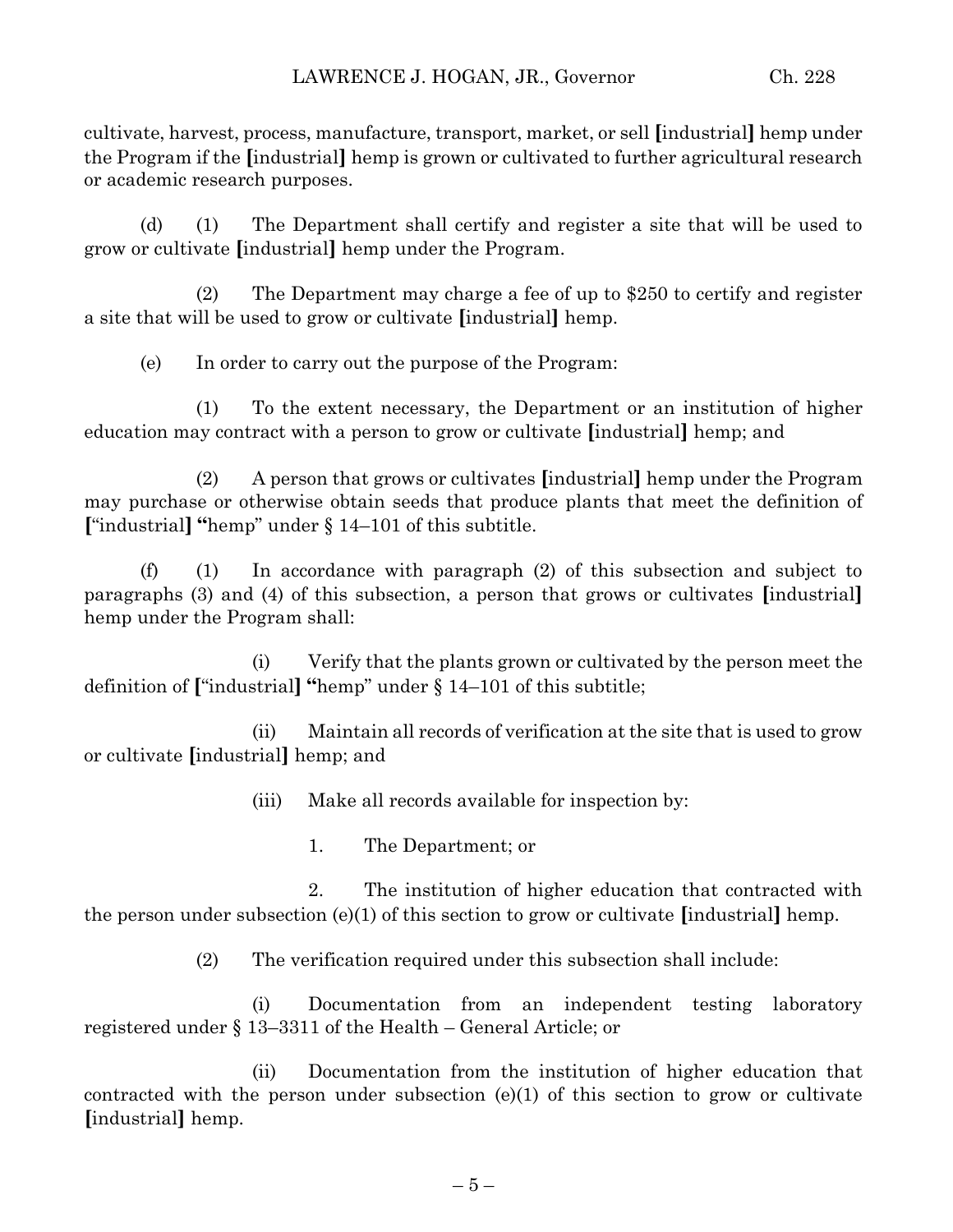cultivate, harvest, process, manufacture, transport, market, or sell **[**industrial**]** hemp under the Program if the **[**industrial**]** hemp is grown or cultivated to further agricultural research or academic research purposes.

(d) (1) The Department shall certify and register a site that will be used to grow or cultivate **[**industrial**]** hemp under the Program.

(2) The Department may charge a fee of up to \$250 to certify and register a site that will be used to grow or cultivate **[**industrial**]** hemp.

(e) In order to carry out the purpose of the Program:

(1) To the extent necessary, the Department or an institution of higher education may contract with a person to grow or cultivate **[**industrial**]** hemp; and

(2) A person that grows or cultivates **[**industrial**]** hemp under the Program may purchase or otherwise obtain seeds that produce plants that meet the definition of **[**"industrial**] "**hemp" under § 14–101 of this subtitle.

(f) (1) In accordance with paragraph (2) of this subsection and subject to paragraphs (3) and (4) of this subsection, a person that grows or cultivates **[**industrial**]** hemp under the Program shall:

(i) Verify that the plants grown or cultivated by the person meet the definition of **[**"industrial**] "**hemp" under § 14–101 of this subtitle;

(ii) Maintain all records of verification at the site that is used to grow or cultivate **[**industrial**]** hemp; and

(iii) Make all records available for inspection by:

1. The Department; or

2. The institution of higher education that contracted with the person under subsection (e)(1) of this section to grow or cultivate **[**industrial**]** hemp.

(2) The verification required under this subsection shall include:

(i) Documentation from an independent testing laboratory registered under § 13–3311 of the Health – General Article; or

(ii) Documentation from the institution of higher education that contracted with the person under subsection (e)(1) of this section to grow or cultivate **[**industrial**]** hemp.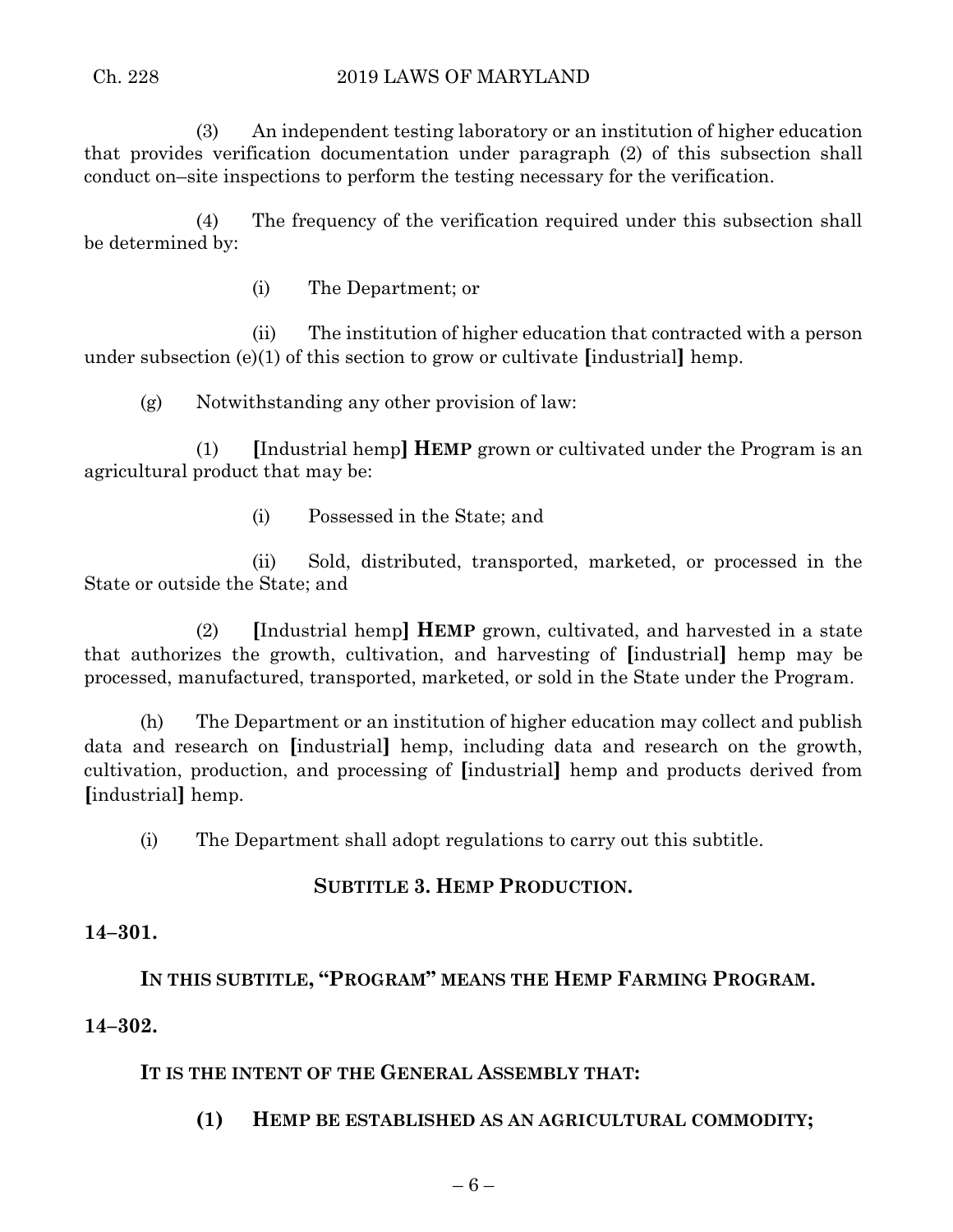(3) An independent testing laboratory or an institution of higher education that provides verification documentation under paragraph (2) of this subsection shall conduct on–site inspections to perform the testing necessary for the verification.

(4) The frequency of the verification required under this subsection shall be determined by:

(i) The Department; or

(ii) The institution of higher education that contracted with a person under subsection (e)(1) of this section to grow or cultivate **[**industrial**]** hemp.

(g) Notwithstanding any other provision of law:

(1) **[**Industrial hemp**] HEMP** grown or cultivated under the Program is an agricultural product that may be:

(i) Possessed in the State; and

(ii) Sold, distributed, transported, marketed, or processed in the State or outside the State; and

(2) **[**Industrial hemp**] HEMP** grown, cultivated, and harvested in a state that authorizes the growth, cultivation, and harvesting of **[**industrial**]** hemp may be processed, manufactured, transported, marketed, or sold in the State under the Program.

(h) The Department or an institution of higher education may collect and publish data and research on **[**industrial**]** hemp, including data and research on the growth, cultivation, production, and processing of **[**industrial**]** hemp and products derived from **[**industrial**]** hemp.

(i) The Department shall adopt regulations to carry out this subtitle.

## **SUBTITLE 3. HEMP PRODUCTION.**

## **14–301.**

# **IN THIS SUBTITLE, "PROGRAM" MEANS THE HEMP FARMING PROGRAM.**

## **14–302.**

## **IT IS THE INTENT OF THE GENERAL ASSEMBLY THAT:**

**(1) HEMP BE ESTABLISHED AS AN AGRICULTURAL COMMODITY;**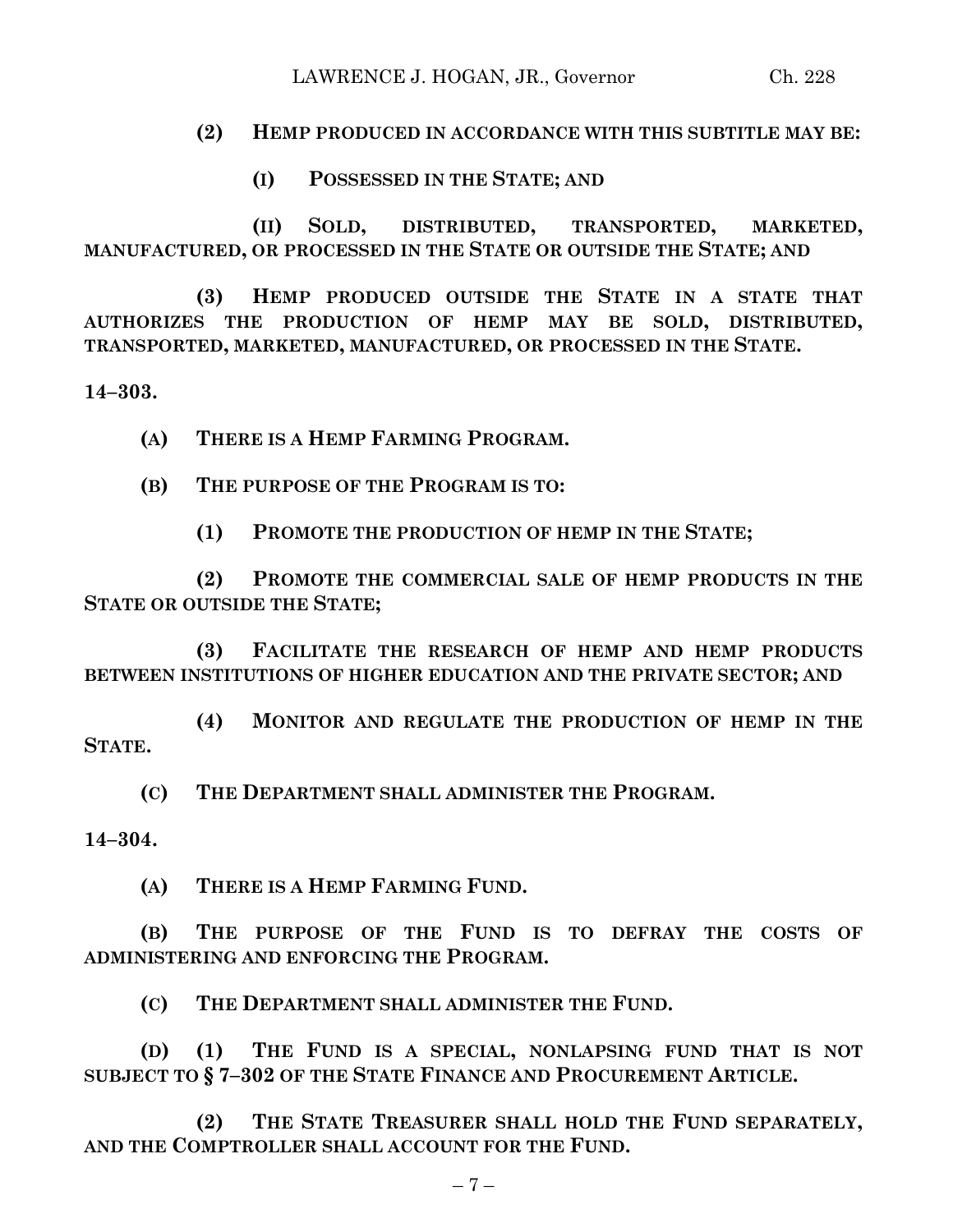## LAWRENCE J. HOGAN, JR., Governor Ch. 228

## **(2) HEMP PRODUCED IN ACCORDANCE WITH THIS SUBTITLE MAY BE:**

**(I) POSSESSED IN THE STATE; AND**

**(II) SOLD, DISTRIBUTED, TRANSPORTED, MARKETED, MANUFACTURED, OR PROCESSED IN THE STATE OR OUTSIDE THE STATE; AND**

**(3) HEMP PRODUCED OUTSIDE THE STATE IN A STATE THAT AUTHORIZES THE PRODUCTION OF HEMP MAY BE SOLD, DISTRIBUTED, TRANSPORTED, MARKETED, MANUFACTURED, OR PROCESSED IN THE STATE.**

**14–303.**

**(A) THERE IS A HEMP FARMING PROGRAM.**

**(B) THE PURPOSE OF THE PROGRAM IS TO:**

**(1) PROMOTE THE PRODUCTION OF HEMP IN THE STATE;**

**(2) PROMOTE THE COMMERCIAL SALE OF HEMP PRODUCTS IN THE STATE OR OUTSIDE THE STATE;**

**(3) FACILITATE THE RESEARCH OF HEMP AND HEMP PRODUCTS BETWEEN INSTITUTIONS OF HIGHER EDUCATION AND THE PRIVATE SECTOR; AND**

**(4) MONITOR AND REGULATE THE PRODUCTION OF HEMP IN THE STATE.**

**(C) THE DEPARTMENT SHALL ADMINISTER THE PROGRAM.**

**14–304.**

**(A) THERE IS A HEMP FARMING FUND.**

**(B) THE PURPOSE OF THE FUND IS TO DEFRAY THE COSTS OF ADMINISTERING AND ENFORCING THE PROGRAM.**

**(C) THE DEPARTMENT SHALL ADMINISTER THE FUND.**

**(D) (1) THE FUND IS A SPECIAL, NONLAPSING FUND THAT IS NOT SUBJECT TO § 7–302 OF THE STATE FINANCE AND PROCUREMENT ARTICLE.**

**(2) THE STATE TREASURER SHALL HOLD THE FUND SEPARATELY, AND THE COMPTROLLER SHALL ACCOUNT FOR THE FUND.**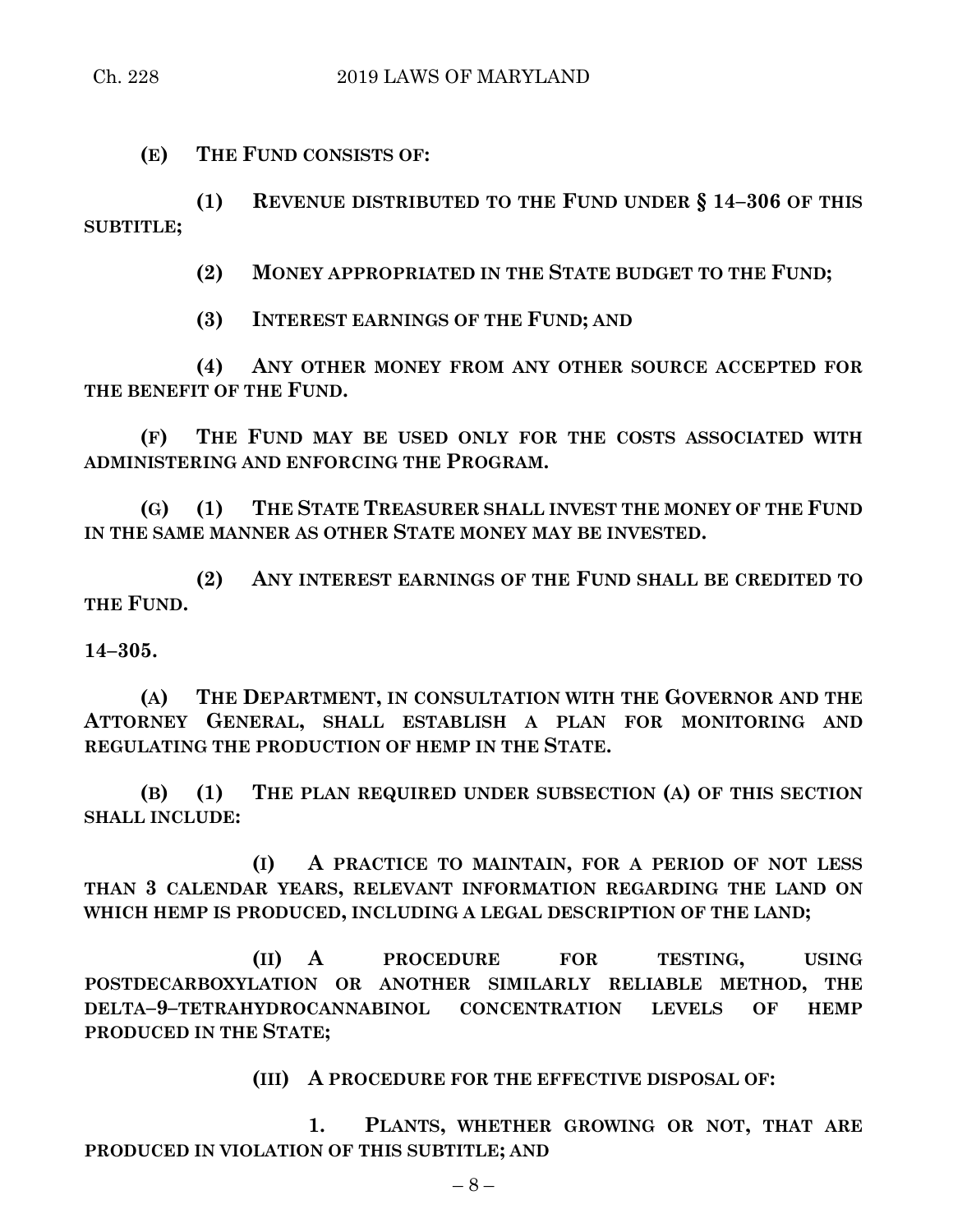**(E) THE FUND CONSISTS OF:**

**(1) REVENUE DISTRIBUTED TO THE FUND UNDER § 14–306 OF THIS SUBTITLE;**

**(2) MONEY APPROPRIATED IN THE STATE BUDGET TO THE FUND;**

**(3) INTEREST EARNINGS OF THE FUND; AND**

**(4) ANY OTHER MONEY FROM ANY OTHER SOURCE ACCEPTED FOR THE BENEFIT OF THE FUND.**

**(F) THE FUND MAY BE USED ONLY FOR THE COSTS ASSOCIATED WITH ADMINISTERING AND ENFORCING THE PROGRAM.**

**(G) (1) THE STATE TREASURER SHALL INVEST THE MONEY OF THE FUND IN THE SAME MANNER AS OTHER STATE MONEY MAY BE INVESTED.**

**(2) ANY INTEREST EARNINGS OF THE FUND SHALL BE CREDITED TO THE FUND.**

**14–305.**

**(A) THE DEPARTMENT, IN CONSULTATION WITH THE GOVERNOR AND THE ATTORNEY GENERAL, SHALL ESTABLISH A PLAN FOR MONITORING AND REGULATING THE PRODUCTION OF HEMP IN THE STATE.**

**(B) (1) THE PLAN REQUIRED UNDER SUBSECTION (A) OF THIS SECTION SHALL INCLUDE:**

**(I) A PRACTICE TO MAINTAIN, FOR A PERIOD OF NOT LESS THAN 3 CALENDAR YEARS, RELEVANT INFORMATION REGARDING THE LAND ON WHICH HEMP IS PRODUCED, INCLUDING A LEGAL DESCRIPTION OF THE LAND;**

**(II) A PROCEDURE FOR TESTING, USING POSTDECARBOXYLATION OR ANOTHER SIMILARLY RELIABLE METHOD, THE DELTA–9–TETRAHYDROCANNABINOL CONCENTRATION LEVELS OF HEMP PRODUCED IN THE STATE;**

**(III) A PROCEDURE FOR THE EFFECTIVE DISPOSAL OF:**

**1. PLANTS, WHETHER GROWING OR NOT, THAT ARE PRODUCED IN VIOLATION OF THIS SUBTITLE; AND**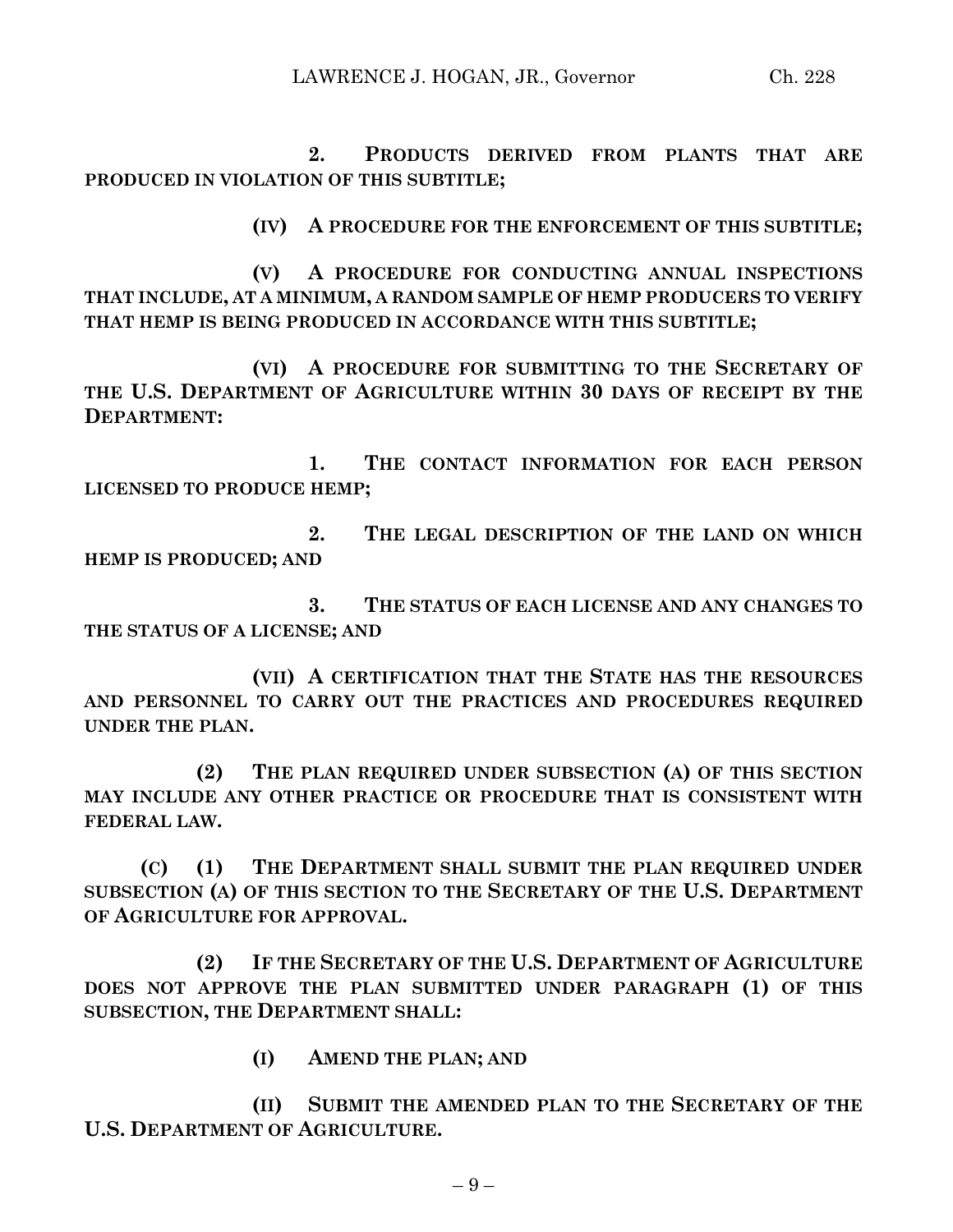**2. PRODUCTS DERIVED FROM PLANTS THAT ARE PRODUCED IN VIOLATION OF THIS SUBTITLE;**

**(IV) A PROCEDURE FOR THE ENFORCEMENT OF THIS SUBTITLE;**

**(V) A PROCEDURE FOR CONDUCTING ANNUAL INSPECTIONS THAT INCLUDE, AT A MINIMUM, A RANDOM SAMPLE OF HEMP PRODUCERS TO VERIFY THAT HEMP IS BEING PRODUCED IN ACCORDANCE WITH THIS SUBTITLE;**

**(VI) A PROCEDURE FOR SUBMITTING TO THE SECRETARY OF THE U.S. DEPARTMENT OF AGRICULTURE WITHIN 30 DAYS OF RECEIPT BY THE DEPARTMENT:**

**1. THE CONTACT INFORMATION FOR EACH PERSON LICENSED TO PRODUCE HEMP;**

**2. THE LEGAL DESCRIPTION OF THE LAND ON WHICH HEMP IS PRODUCED; AND**

**3. THE STATUS OF EACH LICENSE AND ANY CHANGES TO THE STATUS OF A LICENSE; AND**

**(VII) A CERTIFICATION THAT THE STATE HAS THE RESOURCES AND PERSONNEL TO CARRY OUT THE PRACTICES AND PROCEDURES REQUIRED UNDER THE PLAN.**

**(2) THE PLAN REQUIRED UNDER SUBSECTION (A) OF THIS SECTION MAY INCLUDE ANY OTHER PRACTICE OR PROCEDURE THAT IS CONSISTENT WITH FEDERAL LAW.**

**(C) (1) THE DEPARTMENT SHALL SUBMIT THE PLAN REQUIRED UNDER SUBSECTION (A) OF THIS SECTION TO THE SECRETARY OF THE U.S. DEPARTMENT OF AGRICULTURE FOR APPROVAL.**

**(2) IF THE SECRETARY OF THE U.S. DEPARTMENT OF AGRICULTURE DOES NOT APPROVE THE PLAN SUBMITTED UNDER PARAGRAPH (1) OF THIS SUBSECTION, THE DEPARTMENT SHALL:**

**(I) AMEND THE PLAN; AND**

**(II) SUBMIT THE AMENDED PLAN TO THE SECRETARY OF THE U.S. DEPARTMENT OF AGRICULTURE.**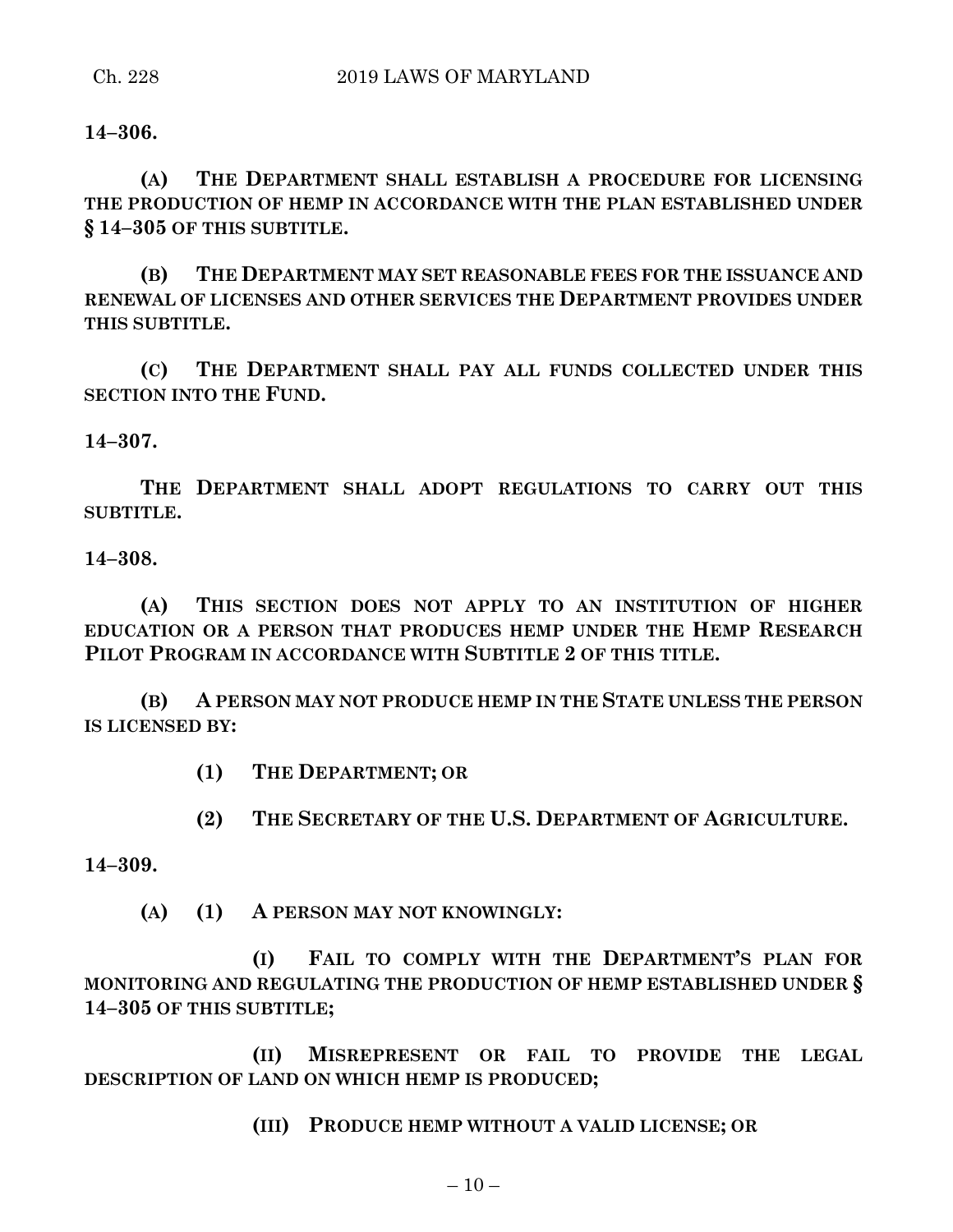**14–306.**

**(A) THE DEPARTMENT SHALL ESTABLISH A PROCEDURE FOR LICENSING THE PRODUCTION OF HEMP IN ACCORDANCE WITH THE PLAN ESTABLISHED UNDER § 14–305 OF THIS SUBTITLE.**

**(B) THE DEPARTMENT MAY SET REASONABLE FEES FOR THE ISSUANCE AND RENEWAL OF LICENSES AND OTHER SERVICES THE DEPARTMENT PROVIDES UNDER THIS SUBTITLE.**

**(C) THE DEPARTMENT SHALL PAY ALL FUNDS COLLECTED UNDER THIS SECTION INTO THE FUND.**

**14–307.**

**THE DEPARTMENT SHALL ADOPT REGULATIONS TO CARRY OUT THIS SUBTITLE.**

**14–308.**

**(A) THIS SECTION DOES NOT APPLY TO AN INSTITUTION OF HIGHER EDUCATION OR A PERSON THAT PRODUCES HEMP UNDER THE HEMP RESEARCH PILOT PROGRAM IN ACCORDANCE WITH SUBTITLE 2 OF THIS TITLE.**

**(B) A PERSON MAY NOT PRODUCE HEMP IN THE STATE UNLESS THE PERSON IS LICENSED BY:**

**(1) THE DEPARTMENT; OR**

**(2) THE SECRETARY OF THE U.S. DEPARTMENT OF AGRICULTURE.**

**14–309.**

**(A) (1) A PERSON MAY NOT KNOWINGLY:**

**(I) FAIL TO COMPLY WITH THE DEPARTMENT'S PLAN FOR MONITORING AND REGULATING THE PRODUCTION OF HEMP ESTABLISHED UNDER § 14–305 OF THIS SUBTITLE;**

**(II) MISREPRESENT OR FAIL TO PROVIDE THE LEGAL DESCRIPTION OF LAND ON WHICH HEMP IS PRODUCED;**

**(III) PRODUCE HEMP WITHOUT A VALID LICENSE; OR**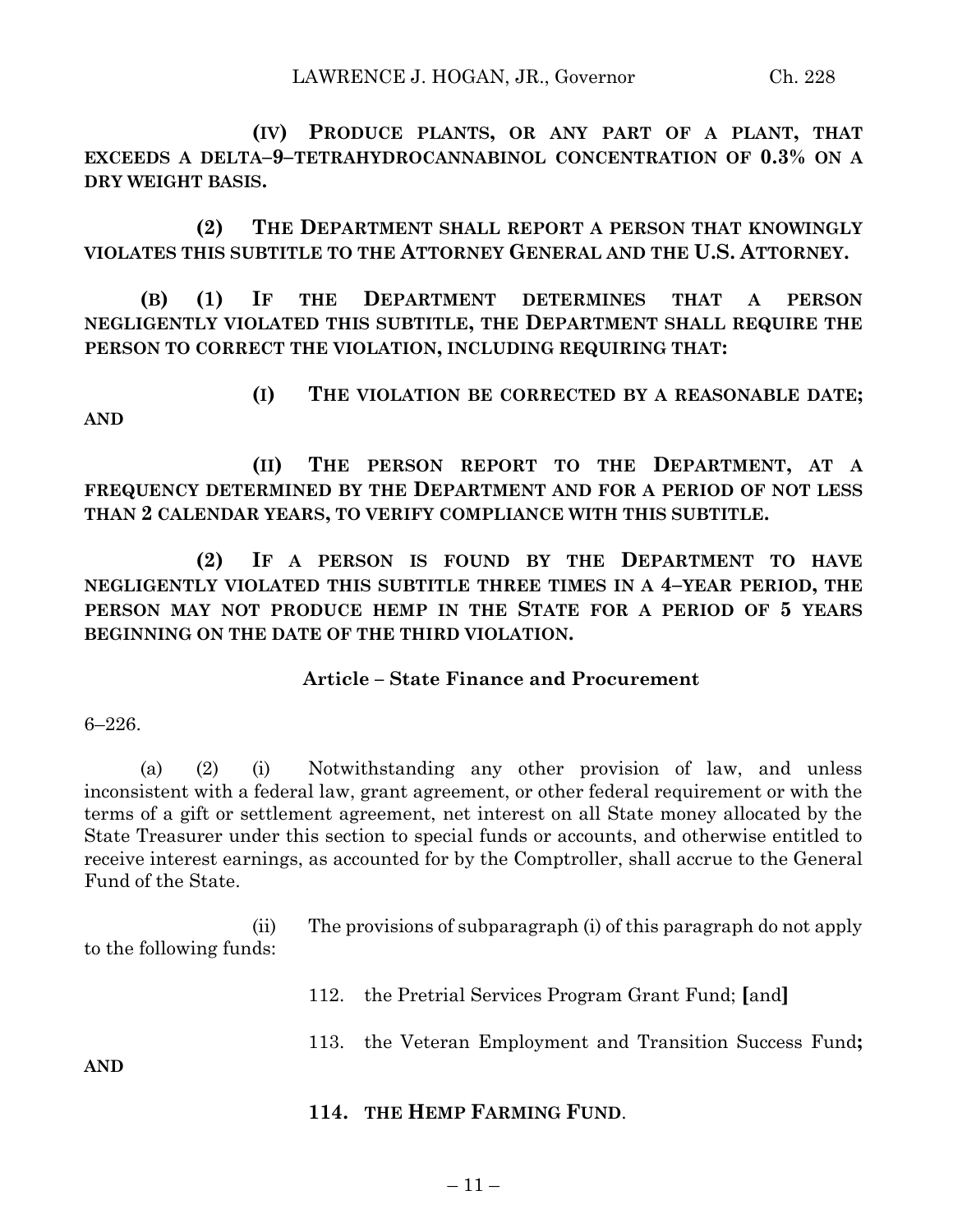**(IV) PRODUCE PLANTS, OR ANY PART OF A PLANT, THAT EXCEEDS A DELTA–9–TETRAHYDROCANNABINOL CONCENTRATION OF 0.3% ON A DRY WEIGHT BASIS.**

**(2) THE DEPARTMENT SHALL REPORT A PERSON THAT KNOWINGLY VIOLATES THIS SUBTITLE TO THE ATTORNEY GENERAL AND THE U.S. ATTORNEY.**

**(B) (1) IF THE DEPARTMENT DETERMINES THAT A PERSON NEGLIGENTLY VIOLATED THIS SUBTITLE, THE DEPARTMENT SHALL REQUIRE THE PERSON TO CORRECT THE VIOLATION, INCLUDING REQUIRING THAT:**

**(I) THE VIOLATION BE CORRECTED BY A REASONABLE DATE; AND**

**(II) THE PERSON REPORT TO THE DEPARTMENT, AT A FREQUENCY DETERMINED BY THE DEPARTMENT AND FOR A PERIOD OF NOT LESS THAN 2 CALENDAR YEARS, TO VERIFY COMPLIANCE WITH THIS SUBTITLE.**

**(2) IF A PERSON IS FOUND BY THE DEPARTMENT TO HAVE NEGLIGENTLY VIOLATED THIS SUBTITLE THREE TIMES IN A 4–YEAR PERIOD, THE PERSON MAY NOT PRODUCE HEMP IN THE STATE FOR A PERIOD OF 5 YEARS BEGINNING ON THE DATE OF THE THIRD VIOLATION.**

### **Article – State Finance and Procurement**

6–226.

(a) (2) (i) Notwithstanding any other provision of law, and unless inconsistent with a federal law, grant agreement, or other federal requirement or with the terms of a gift or settlement agreement, net interest on all State money allocated by the State Treasurer under this section to special funds or accounts, and otherwise entitled to receive interest earnings, as accounted for by the Comptroller, shall accrue to the General Fund of the State.

(ii) The provisions of subparagraph (i) of this paragraph do not apply to the following funds:

112. the Pretrial Services Program Grant Fund; **[**and**]**

113. the Veteran Employment and Transition Success Fund**;**

**AND**

**114. THE HEMP FARMING FUND**.